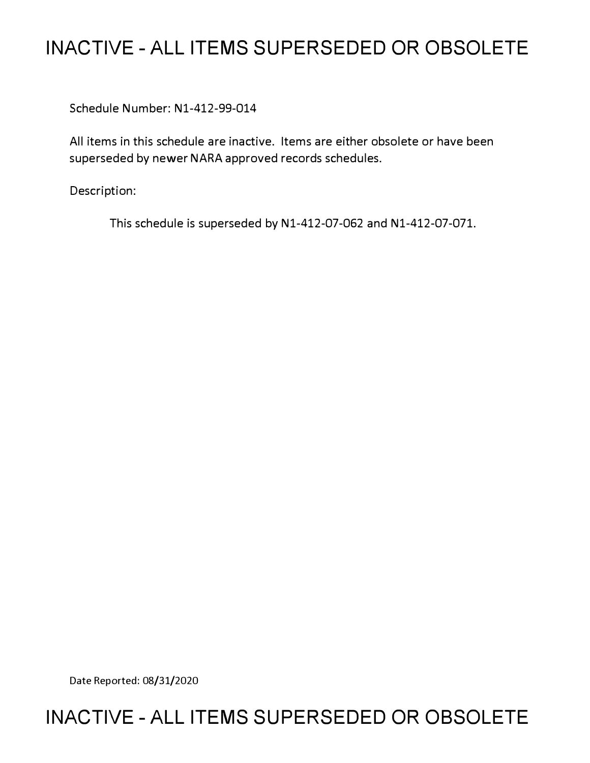# **INACTIVE - ALL ITEMS SUPERSEDED OR OBSOLETE**

Schedule Number: Nl-412-99-014

All items in this schedule are inactive. Items are either obsolete or have been superseded by newer NARA approved records schedules.

Description:

This schedule is superseded by Nl-412-07-062 and Nl-412-07-071.

Date Reported: 08/31/2020

# **INACTIVE - ALL ITEMS SUPERSEDED OR OBSOLETE**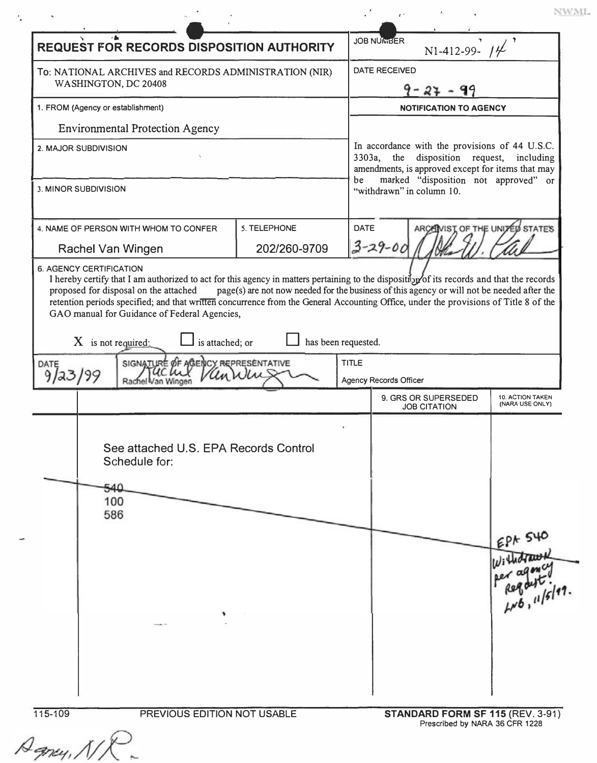| <b>REQUEST FOR RECORDS DISPOSITION AUTHORITY</b>                               |                                                                                                       |                                                                                                                                                                                                   |              | N1-412-99- $14$                             |                                   |                                     |
|--------------------------------------------------------------------------------|-------------------------------------------------------------------------------------------------------|---------------------------------------------------------------------------------------------------------------------------------------------------------------------------------------------------|--------------|---------------------------------------------|-----------------------------------|-------------------------------------|
| To: NATIONAL ARCHIVES and RECORDS ADMINISTRATION (NIR)<br>WASHINGTON, DC 20408 |                                                                                                       | DATE RECEIVED<br>$9 - 27 - 99$                                                                                                                                                                    |              |                                             |                                   |                                     |
|                                                                                |                                                                                                       |                                                                                                                                                                                                   |              |                                             | 1. FROM (Agency or establishment) |                                     |
|                                                                                | <b>Environmental Protection Agency</b>                                                                |                                                                                                                                                                                                   |              |                                             |                                   |                                     |
| 2. MAJOR SUBDIVISION                                                           |                                                                                                       | In accordance with the provisions of 44 U.S.C.<br>the disposition request, including<br>3303a,<br>amendments, is approved except for items that may<br>marked "disposition not approved" or<br>be |              |                                             |                                   |                                     |
| 3. MINOR SUBDIVISION                                                           |                                                                                                       |                                                                                                                                                                                                   |              | "withdrawn" in column 10.                   |                                   |                                     |
| Rachel Van Wingen                                                              | 4. NAME OF PERSON WITH WHOM TO CONFER                                                                 | 5. TELEPHONE<br>202/260-9709                                                                                                                                                                      | <b>DATE</b>  | $3 - 29 - 00$                               |                                   | ARCAINIST OF THE UNITED STATES      |
| $X$ is not required;<br>DATE                                                   | GAO manual for Guidance of Federal Agencies,<br>is attached; or<br>SIGNATURE OF AGENCY REPRESENTATIVE | retention periods specified; and that written concurrence from the General Accounting Office, under the provisions of Title 8 of the<br>has been requested.                                       | <b>TITLE</b> |                                             |                                   |                                     |
| 9123199                                                                        | 'an Winger                                                                                            |                                                                                                                                                                                                   |              | <b>Agency Records Officer</b>               |                                   |                                     |
|                                                                                |                                                                                                       |                                                                                                                                                                                                   |              | 9. GRS OR SUPERSEDED<br><b>JOB CITATION</b> |                                   | 10. ACTION TAKEN<br>(NARA USE ONLY) |
|                                                                                | See attached U.S. EPA Records Control<br>Schedule for:                                                |                                                                                                                                                                                                   |              |                                             |                                   |                                     |
| 540<br>100                                                                     |                                                                                                       |                                                                                                                                                                                                   |              |                                             |                                   |                                     |
| 586                                                                            |                                                                                                       |                                                                                                                                                                                                   |              |                                             |                                   |                                     |
|                                                                                |                                                                                                       |                                                                                                                                                                                                   |              |                                             |                                   | EPA 540<br>10, 16/17                |

Agney, NX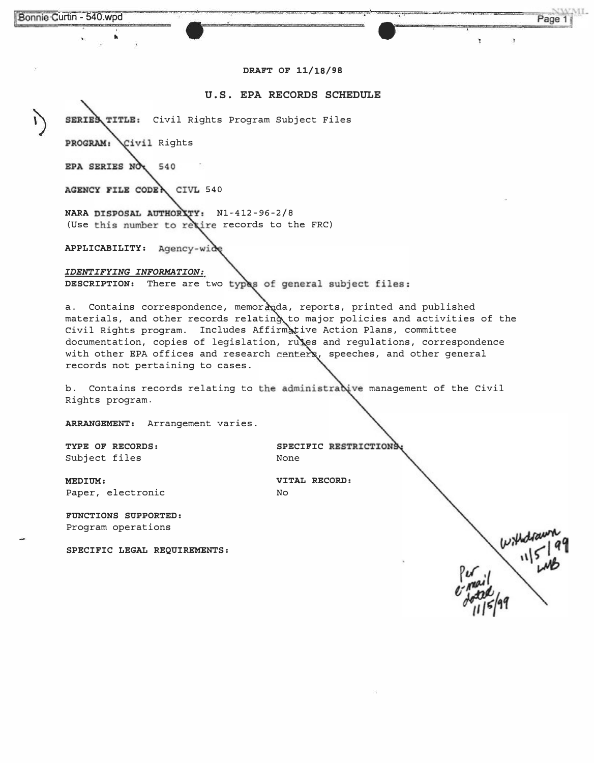#### **DRAFT OF 11/18/98**

## **U.S. EPA RECORDS SCHEDULE**

SERIES TITLE: Civil Rights Program Subject Files

PROGRAM: Civil Rights

EPA SERIES NO 540

AGENCY FILE CODER CIVL 540

**NARA DISPOSAL AUTHORITY: N1-412-96-2/8** (Use this number to recire records to the FRC)

**APPLICABILITY:** 

*IDENTIFYING INFORMATION:*  DESCRIPTION: There are two types of general subject files:

a. Contains correspondence, memoranda, reports, printed and published materials, and other records relating to major policies and activities of the Civil Rights program. Includes Affirmative Action Plans, committee documentation, copies of legislation, rules and regulations, correspondence with other EPA offices and research centers, speeches, and other general records not pertaining to cases.

b. Contains records relating to the administrabive management of the Civil Rights program.

**ARRANGEMENT:** Arrangement varies.

Subject files

TYPE OF RECORDS: SPECIFIC RESTRICTIONS<br>Subject files **SUBS** None

**MEDIUM: VITAL RECORD:**  Paper, electronic No

**FUNCTIONS SUPPORTED:**  Program operations

**SPECIFIC LEGAL REQUIREMENTS:** 

ML.

Page 1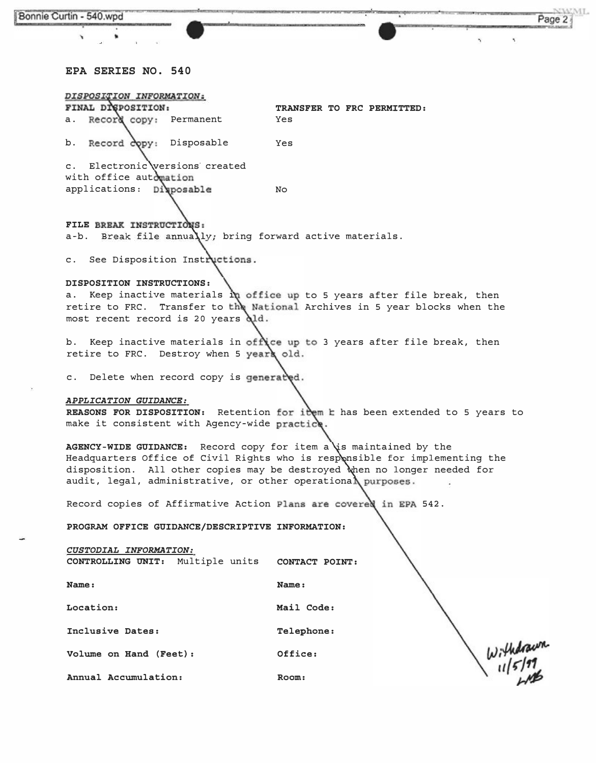| Bonnie Curtin - 540.wpd                                                                                                                          |                                   |               | NWML.<br>Page 2 |
|--------------------------------------------------------------------------------------------------------------------------------------------------|-----------------------------------|---------------|-----------------|
|                                                                                                                                                  |                                   |               |                 |
|                                                                                                                                                  |                                   |               |                 |
| EPA SERIES NO. 540                                                                                                                               |                                   |               |                 |
| DISPOSITION INFORMATION:                                                                                                                         |                                   |               |                 |
| FINAL DISPOSITION:<br>a. Record copy: Permanent                                                                                                  | TRANSFER TO FRC PERMITTED:<br>Yes |               |                 |
| b. Record copy: Disposable                                                                                                                       | Yes                               |               |                 |
| c. Electronic versions created                                                                                                                   |                                   |               |                 |
| with office automation                                                                                                                           |                                   |               |                 |
| applications: Disposable                                                                                                                         | No.                               |               |                 |
| FILE BREAK INSTRUCTIONS:                                                                                                                         |                                   |               |                 |
| a-b. Break file annually; bring forward active materials.                                                                                        |                                   |               |                 |
| c. See Disposition Instructions.                                                                                                                 |                                   |               |                 |
| DISPOSITION INSTRUCTIONS:                                                                                                                        |                                   |               |                 |
| a. Keep inactive materials $\mathbf{\hat{n}}$ office up to 5 years after file break, then                                                        |                                   |               |                 |
| retire to FRC. Transfer to the National Archives in 5 year blocks when the<br>most recent record is 20 years old.                                |                                   |               |                 |
| b. Keep inactive materials in office up to 3 years after file break, then<br>retire to FRC. Destroy when 5 years old.                            |                                   |               |                 |
| c. Delete when record copy is generated.                                                                                                         |                                   |               |                 |
| APPLICATION GUIDANCE:                                                                                                                            |                                   |               |                 |
| REASONS FOR DISPOSITION: Retention for item k has been extended to 5 years to<br>make it consistent with Agency-wide practice.                   |                                   |               |                 |
| AGENCY-WIDE GUIDANCE: Record copy for item a is maintained by the<br>Headquarters Office of Civil Rights who is responsible for implementing the |                                   |               |                 |
| disposition. All other copies may be destroyed when no longer needed for<br>audit, legal, administrative, or other operational purposes.         |                                   |               |                 |
| Record copies of Affirmative Action Plans are covered in EPA 542.                                                                                |                                   |               |                 |
| PROGRAM OFFICE GUIDANCE/DESCRIPTIVE INFORMATION:                                                                                                 |                                   |               |                 |
| CUSTODIAL INFORMATION:<br>CONTROLLING UNIT: Multiple units                                                                                       | CONTACT POINT:                    |               |                 |
| Name:                                                                                                                                            | Name:                             |               |                 |
| Location:                                                                                                                                        | Mail Code:                        |               |                 |
| Inclusive Dates:                                                                                                                                 | Telephone:                        |               |                 |
| Volume on Hand (Feet):                                                                                                                           | Office:                           | $w_i$ thdrawn |                 |
| Annual Accumulation:                                                                                                                             | Room:                             |               |                 |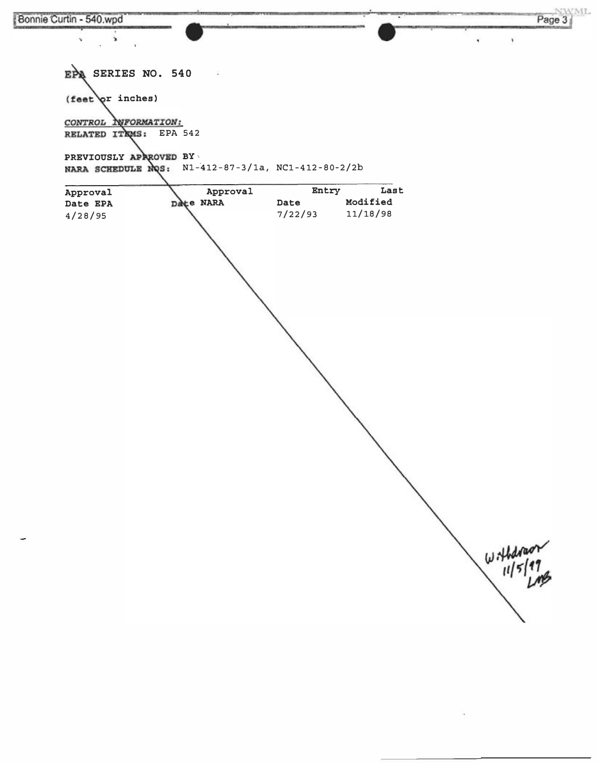

 $\mathbf{r}$ 

EPA SERIES NO. 540 and and  $(\text{feat}\,\varphi r\text{ inches})$ CONTROL INFORMATION: RELATED ITKMS: EPA 542 PREVIOUSLY APAROVED BY NARA SCHEDULE NOS: N1-412-87-3/1a, NC1-412-80-2/2b Approval Entry Last Approval Modified Date EPA Date NARA Date  $4/28/95$ 7/22/93 11/18/98  $W+1$ 

Page 3

×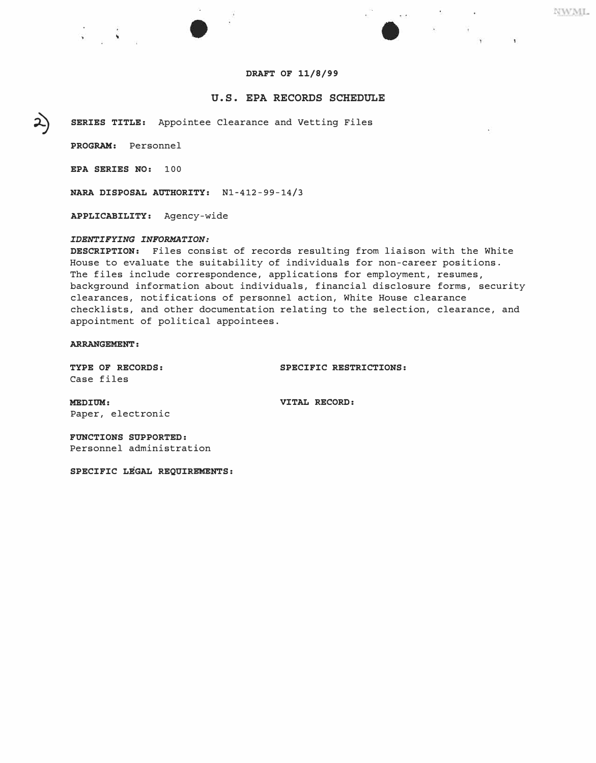## *DRAFT OF 11/8/99*

## **U.S. EPA RECORDS SCHEDULE**

*SERIES TITLE:* Appointee Clearance and Vetting Files

*PROGRAM:* Personnel

�

2)

*EPA SERIES NO:* 100

*NARA DISPOSAL AUTHORITY:* Nl-412-99-14/3

*APPLICABILITY:* Agency-wide

### *IDENTIFYING INFORMATION:*

*DESCRIPTION:* Files consist of records resulting from liaison with the White House to evaluate the suitability of individuals for non-career positions. The files include correspondence, applications for employment, resumes, background information about individuals, financial disclosure forms, security clearances, notifications of personnel action, White House clearance checklists, and other documentation relating to the selection, clearance, and appointment of political appointees.

*ARRANGEMENT:* 

Case files

*TYPE OF RECORDS: SPECIFIC RESTRICTIONS:* 

*MEDIUM: VITAL RECORD:*  Paper, electronic

*FUNCTIONS SUPPORTED:*  Personnel administration

*SPECIFIC LEGAL REQUIREMENTS:* 

NWML

 $\sim 100$ 

 $\mathcal{A} \subseteq \mathcal{F}$  .

 $\sim$  100  $\pm$ 

 $\mathbf{L}$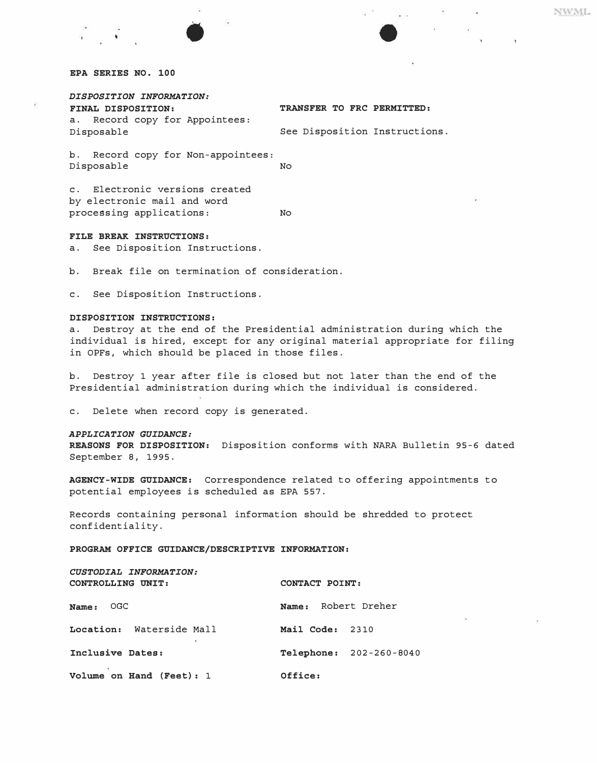## *DISPOSITION INFORMATION:*

| <b>FINAL DISPOSITION:</b>      | TRANSFER TO FRC PERMITTED:    |
|--------------------------------|-------------------------------|
| a. Record copy for Appointees: |                               |
| Disposable                     | See Disposition Instructions. |

b. Record copy for Non-appointees: Disposable No

c. Electronic versions created by electronic mail and word processing applications: No

#### *FILE BREAK INSTRUCTIONS:*

a. See Disposition Instructions.

b. Break file on termination of consideration.

•

c. See Disposition Instructions.

### *DISPOSITION INSTRUCTIONS:*

a. Destroy at the end of the Presidential administration during which the individual is hired, except for any original material appropriate for filing in OPFs, which should be placed in those files.

b. Destroy 1 year after file is closed but not later than the end of the Presidential administration during which the individual is considered.

c. Delete when record copy is generated.

#### *APPLICATION GUIDANCE:*

*REASONS FOR DISPOSITION:* Disposition conforms with NARA Bulletin 95-6 dated September 8, 1995.

*AGENCY-WIDE GUIDANCE:* Correspondence related to offering appointments to potential employees is scheduled as EPA 557.

Records containing personal information should be shredded to protect confidentiality.

*PROGRAM OFFICE GUIDANCE/DESCRIPTIVE INFORMATION:* 

| CUSTODIAL INFORMATION:<br>CONTROLLING UNIT: | CONTACT POINT:                 |  |  |
|---------------------------------------------|--------------------------------|--|--|
| OGC.<br>Name:                               | Robert Dreher<br>Name:         |  |  |
| Location: Waterside Mall                    | Mail Code: 2310                |  |  |
| Inclusive Dates:                            | <b>Telephone: 202-260-8040</b> |  |  |
| Volume on Hand (Feet): 1                    | Office:                        |  |  |

NWML

in and a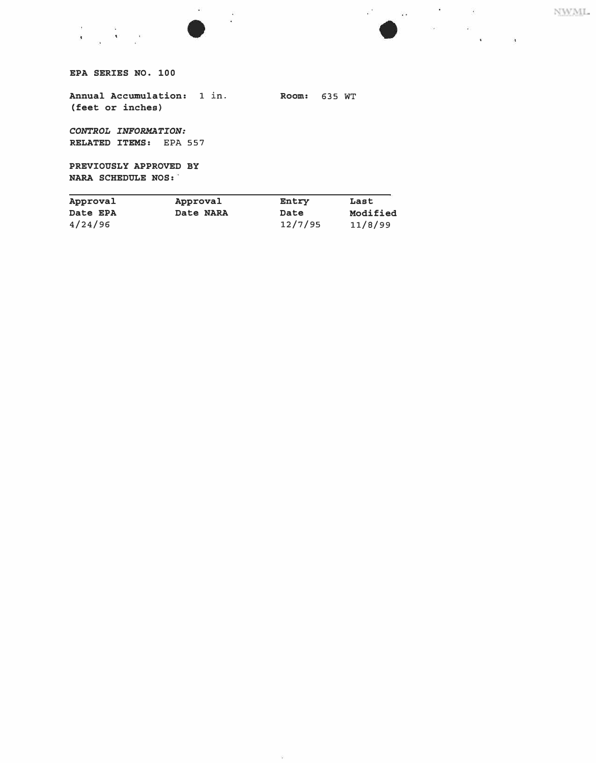



*EPA SERIES NO. 100* 

*in. Annual Accumulation:* 1 *Room:* 635 WT *(feet or inches)* 

*CONTROL INFORMATION: RELATED ITEMS:* EPA 557

*BY PREVIOUSLY APPROVED NARA SCHEDULE NOS:* 

| Approval | Approval  | Entry   | Last     |
|----------|-----------|---------|----------|
| Date EPA | Date NARA | Date    | Modified |
| 4/24/96  |           | 12/7/95 | 11/8/99  |

- 98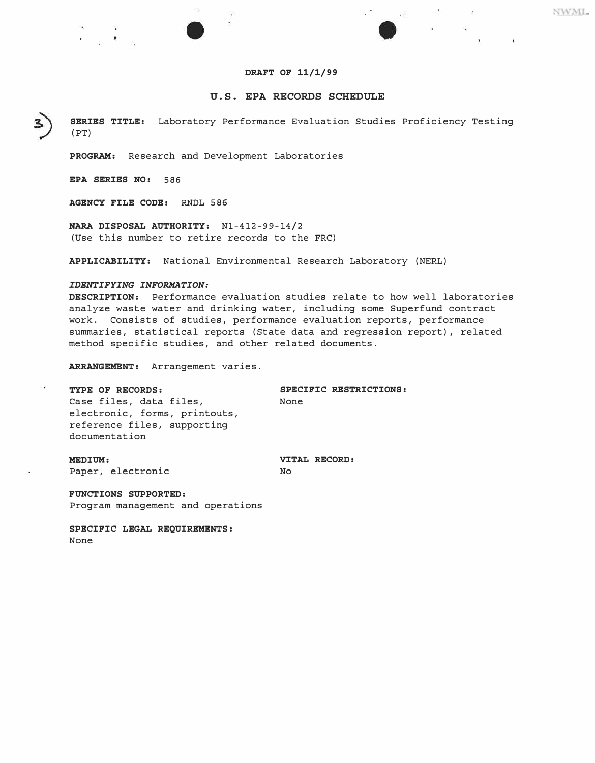## **U.S. EPA RECORDS SCHEDULE**

 $\sim$ 

 $\mathbf{r} = \mathbf{r}$ 

NWML.

*SERIES TITLE:* Laboratory Performance Evaluation Studies Proficiency Testing (PT)

*PROGRAM:* Research and Development Laboratories

*EPA SERIES NO: 586* 

*AGENCY FILE CODE: RNDL 586* 

*NARA DISPOSAL AUTHORITY:* Nl-412-99-14/2 (U**s**e thi**s** number to retire recor**ds** to the FRC**)** 

*APPLICABILITY:* Nationa*l* Environmenta*l* **R**e**s**earch Laboratory (NE**R**L**)** 

#### *IDENTIFYING INFORMATION:*

*DESCRIPTION:* Performance eva*l*uation **s**tu**d**ie**s** re*l*ate to how we*ll l*aboratorie**s**  ana*l*yze wa**s**te water an**d d**rinkin*g* water, inc*l*u**d**in*g* **s**ome **S**uperfun**d** contract work. Con**s**i**s**t**s** of **s**tu**d**ie**s**, performance eva*l*uation report**s**, performance **s**ummarie**s**, **s**tati**s**tica*l* report**s** (**S**tate **d**ata an**d** re*g*re**ss**ion report**)** , re*l*ate**d**  metho**d s**pecific **s**tu**d**ie**s**, an**d** other re*l*ate**d d**ocument**s**.

*ARRANGEMENT:* Arran*g*ement varie**s**.

*TYPE OF RECORDS: SPECIFIC RESTRICTIONS:*  Ca**s**e fi*l*e**s**, **d**ata fi*l*e**s**, **N**one e*l*ectronic, form**s**, printout**s**, reference fi*l*e**s**, **s**upportin*g*  **d**ocumentation *MEDIUM: VITAL RECORD:* 

Paper, electronic

*FUNCTIONS SUPPORTED:*  Pro*g*ram mana*g*ement an**d** operation**s** 

*SPECIFIC LEGAL REQUIREMENTS:*  **N**one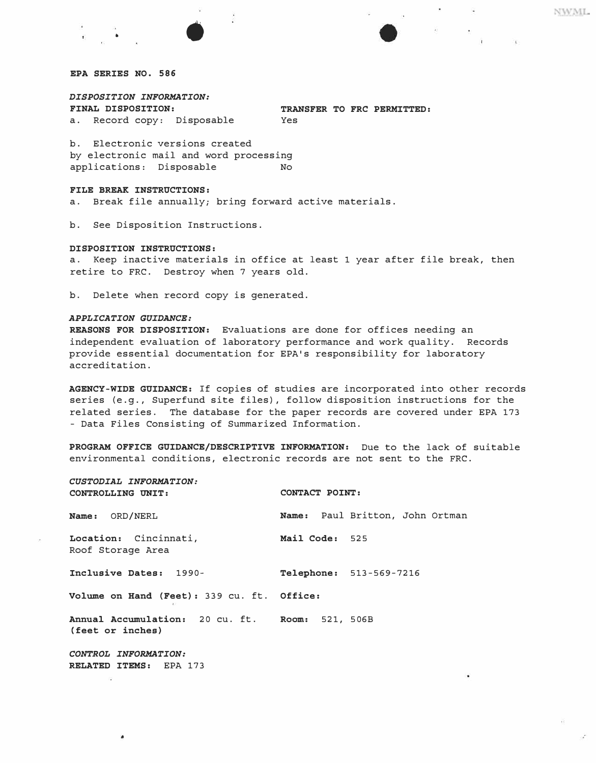*DISPOSITION INFORMATION:*  a. Record copy: Disposable

'" •

**TRANSFER TO FRC PERMITTED:**<br>Yes

b. Electronic versions created by electronic mail and word processing<br>applications: Disposable Mo applications: Disposable

#### *FILE BREAK INSTRUCTIONS:*

a. Break file annually; bring forward active materials.

b. See Disposition Instructions.

#### *DISPOSITION INSTRUCTIONS:*

a. Keep inactive materials in office at least 1 year after file break, then retire to FRC. Destroy when 7 years old.

b. Delete when record copy is generated.

### *APPLICATION GUIDANCE:*

*REASONS FOR DISPOSITION:* Evaluations are done for offices needing an independent evaluation of laboratory performance and work quality. Records provide essential documentation for EPA's responsibility for laboratory accreditation.

*AGENCY-WIDE GUIDANCE:* If copies of studies are incorporated into other records series (e.g., Superfund site files), follow disposition instructions for the related series. The database for the paper records are covered under EPA 173 - Data Files Consisting of Summarized Information.

*PROGRAM OFFICE GUIDANCE/DESCRIPTIVE INFORMATION:* Due to the lack of suitable environmental conditions, electronic records are not sent to the FRC.

*CUSTODIAL INFORMATION: CONTROLLING UNIT: CONTACT POINT:* 

*Location:* Cincinnati, *Mail Code:* 525

Roof Storage Area

*Inclusive Dates:* 1990- *Telephone:* 513-569-7216

*Name:* ORD/NERL *Name:* Paul Britton, John Ortman

*Volume on Hand (Feet):* 339 cu. ft. *Office:* 

*Annual Accumulation:* 20 cu. ft. *Room:* 521, 506B ( *feet or inches)* 

*CONTROL INFORMATION: RELATED ITEMS:* EPA 173